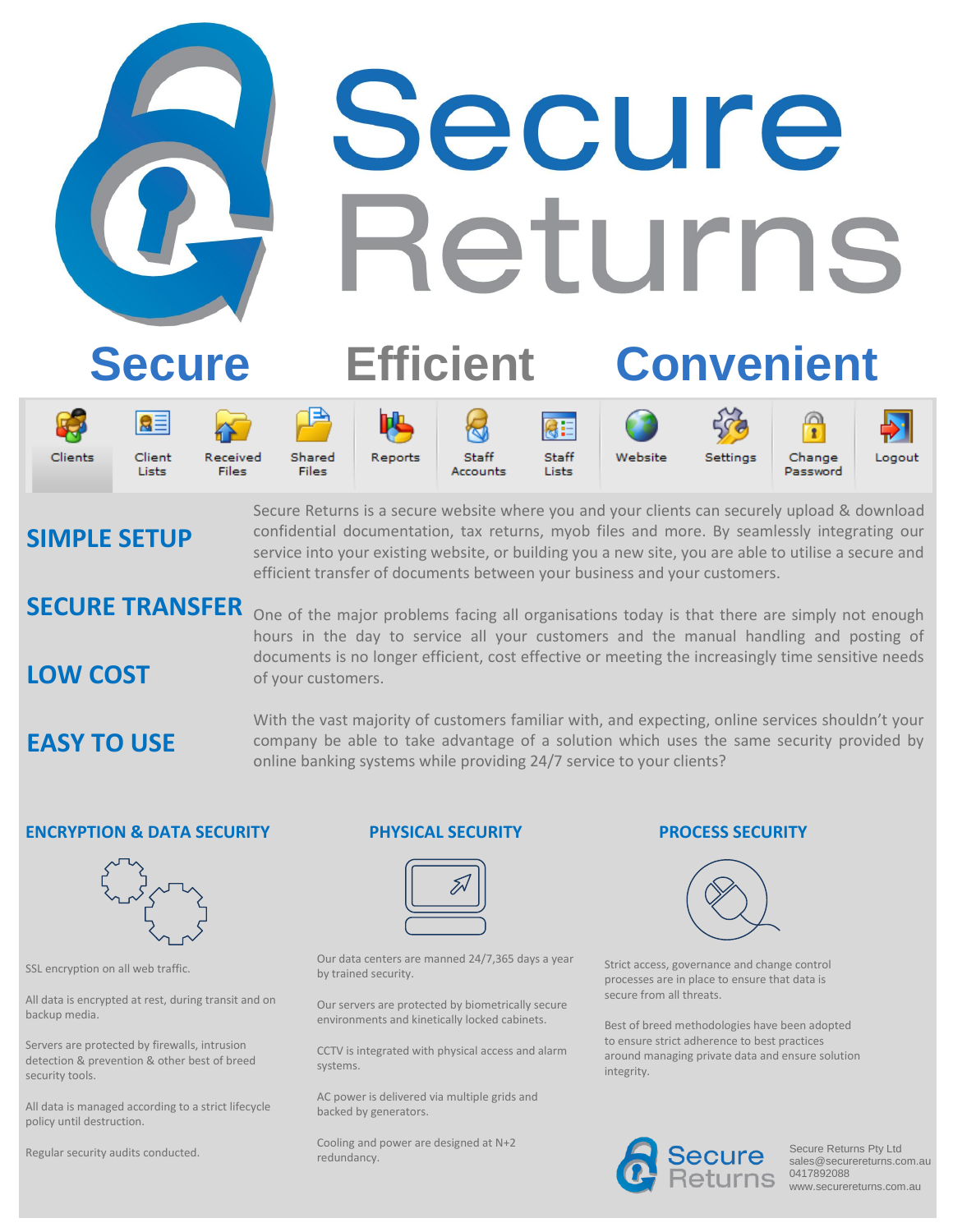# Secure Returns

# **Secure Efficient Convenient**



















**SIMPLE SETUP**

Secure Returns is a secure website where you and your clients can securely upload & download confidential documentation, tax returns, myob files and more. By seamlessly integrating our service into your existing website, or building you a new site, you are able to utilise a secure and efficient transfer of documents between your business and your customers.

# **SECURE TRANSFER**

One of the major problems facing all organisations today is that there are simply not enough hours in the day to service all your customers and the manual handling and posting of documents is no longer efficient, cost effective or meeting the increasingly time sensitive needs of your customers.

**EASY TO USE**

**LOW COST**

With the vast majority of customers familiar with, and expecting, online services shouldn't your company be able to take advantage of a solution which uses the same security provided by online banking systems while providing 24/7 service to your clients?

### **ENCRYPTION & DATA SECURITY**



SSL encryption on all web traffic.

All data is encrypted at rest, during transit and on backup media.

Servers are protected by firewalls, intrusion detection & prevention & other best of breed security tools.

All data is managed according to a strict lifecycle policy until destruction.

Regular security audits conducted.

#### **PHYSICAL SECURITY**



Our data centers are manned 24/7,365 days a year by trained security.

Our servers are protected by biometrically secure environments and kinetically locked cabinets.

CCTV is integrated with physical access and alarm systems.

AC power is delivered via multiple grids and backed by generators.

Cooling and power are designed at N+2 redundancy.

#### **PROCESS SECURITY**



Strict access, governance and change control processes are in place to ensure that data is secure from all threats.

Best of breed methodologies have been adopted to ensure strict adherence to best practices around managing private data and ensure solution integrity.



Secure Returns Pty Ltd sales@securereturns.com.au 0417892088 www.securereturns.com.au